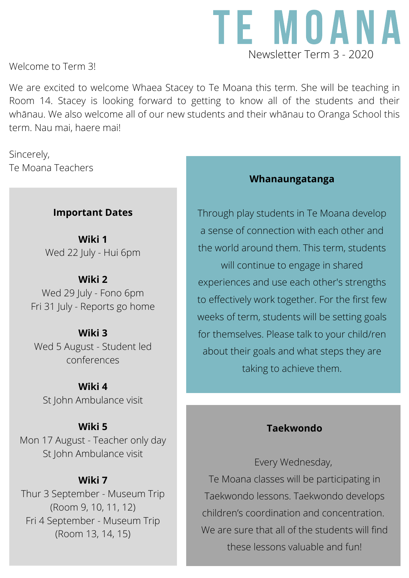

Welcome to Term 3!

We are excited to welcome Whaea Stacey to Te Moana this term. She will be teaching in Room 14. Stacey is looking forward to getting to know all of the students and their whānau. We also welcome all of our new students and their whānau to Oranga School this term. Nau mai, haere mai!

Sincerely, Te Moana Teachers

### **Important Dates**

**Wiki 1** Wed 22 July - Hui 6pm

### **Wiki 2**

Wed 29 July - Fono 6pm Fri 31 July - Reports go home

**Wiki 3** Wed 5 August - Student led conferences

#### **Wiki 4**

St John Ambulance visit

#### **Wiki 5**

Mon 17 August - Teacher only day St John Ambulance visit

#### **Wiki 7**

Thur 3 September - Museum Trip (Room 9, 10, 11, 12) Fri 4 September - Museum Trip (Room 13, 14, 15)

### **Whanaungatanga**

Through play students in Te Moana develop a sense of connection with each other and the world around them. This term, students will continue to engage in shared experiences and use each other's strengths to effectively work together. For the first few weeks of term, students will be setting goals for themselves. Please talk to your child/ren about their goals and what steps they are taking to achieve them.

### **Taekwondo**

Every Wednesday, Te Moana classes will be participating in Taekwondo lessons. Taekwondo develops children's coordination and concentration. We are sure that all of the students will find these lessons valuable and fun!